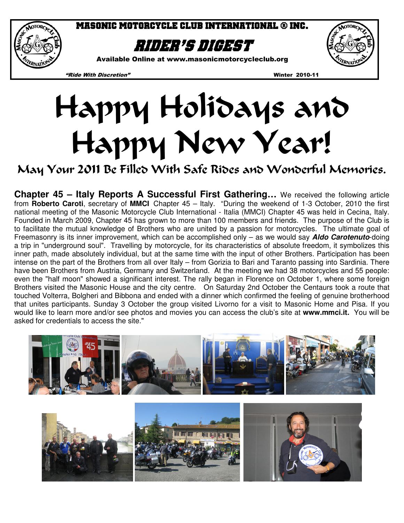

Masonic Motorcycle club international ® inc.

# Rider's digest

Available Online at www.masonicmotorcycleclub.org

"Ride With Discretion" Winter 2010-11

# Happy Holidays and Happy New Year!

# May Your 2011 Be Filled With Safe Rides and Wonderful Memories.

**Chapter 45 – Italy Reports A Successful First Gathering…** We received the following article from **Roberto Caroti**, secretary of **MMCI** Chapter 45 – Italy. "During the weekend of 1-3 October, 2010 the first national meeting of the Masonic Motorcycle Club International - Italia (MMCI) Chapter 45 was held in Cecina, Italy. Founded in March 2009, Chapter 45 has grown to more than 100 members and friends. The purpose of the Club is to facilitate the mutual knowledge of Brothers who are united by a passion for motorcycles. The ultimate goal of Freemasonry is its inner improvement, which can be accomplished only – as we would say **Aldo Carotenuto**-doing a trip in "underground soul". Travelling by motorcycle, for its characteristics of absolute freedom, it symbolizes this inner path, made absolutely individual, but at the same time with the input of other Brothers. Participation has been intense on the part of the Brothers from all over Italy – from Gorizia to Bari and Taranto passing into Sardinia. There have been Brothers from Austria, Germany and Switzerland. At the meeting we had 38 motorcycles and 55 people: even the "half moon" showed a significant interest. The rally began in Florence on October 1, where some foreign Brothers visited the Masonic House and the city centre. On Saturday 2nd October the Centaurs took a route that touched Volterra, Bolgheri and Bibbona and ended with a dinner which confirmed the feeling of genuine brotherhood that unites participants. Sunday 3 October the group visited Livorno for a visit to Masonic Home and Pisa. If you would like to learn more and/or see photos and movies you can access the club's site at **www.mmci.it.** You will be asked for credentials to access the site."



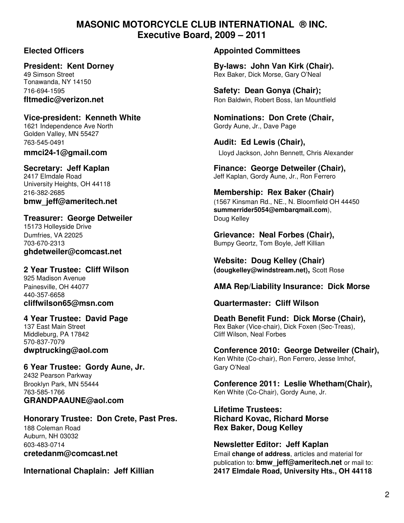### **MASONIC MOTORCYCLE CLUB INTERNATIONAL ® INC. Executive Board, 2009 – 2011**

Tonawanda, NY 14150

Golden Valley, MN 55427 763-545-0491 **Audit: Ed Lewis (Chair),** 

University Heights, OH 44118

# **Treasurer: George Detweiler Communist Channel Communist Communist Channel Communist Channel Channel Channel Channel Channel Channel Channel Channel Channel Channel Channel Channel Channel Channel Channel Channel Channel** 15173 Holleyside Drive

**ghdetweiler@comcast.net** 

925 Madison Avenue 440-357-6658

Middleburg, PA 17842 Cliff Wilson, Neal Forbes 570-837-7079

## **6 Year Trustee: Gordy Aune, Jr.** Gary O'Neal 2432 Pearson Parkway

**GRANDPAAUNE@aol.com** 

### **Honorary Trustee: Don Crete, Past Pres. Richard Kovac, Richard Morse**

188 Coleman Road **Rex Baker, Doug Kelley** Auburn, NH 03032

#### **Elected Officers Appointed Committees**

President: Kent Dorney **By-laws: John Van Kirk (Chair).** 49 Simson Street Rex Baker, Dick Morse, Gary O'Neal

716-694-1595 **Safety: Dean Gonya (Chair); fltmedic@verizon.net** and **Ron Baldwin, Robert Boss, Ian Mountfield** 

Vice-president: Kenneth White **Nominations: Don Crete (Chair,**  $\overline{\phantom{a}}$ 1621 Independence Ave North Gordy Aune, Jr., Dave Page

**mmci24-1@gmail.com** Lloyd Jackson, John Bennett, Chris Alexander

Secretary: Jeff Kaplan **Finance: George Detweiler (Chair)**, 2417 Elmdale Road Jeff Kaplan, Gordy Aune, Jr., Ron Ferrero

216-382-2685 **Membership: Rex Baker (Chair) bmw\_jeff@ameritech.net** (1567 Kinsman Rd., NE., N. Bloomfield OH 44450  **summerrider5054@embarqmail.com**),

Dumfries, VA 22025 **Grievance: Neal Forbes (Chair),**  Bumpy Geortz, Tom Boyle, Jeff Killian

**Property and Medicity Chair (Chair)**<br>**2 Year Trustee: Cliff Wilson (dougkellev@windstream.net).** Scot **2 Year Trustee: Cliff Wilson (dougkelley@windstream.net),** Scott Rose

#### Painesville, OH 44077 **AMA Rep/Liability Insurance: Dick Morse**

#### **cliffwilson65@msn.com Quartermaster: Cliff Wilson**

**4 Year Trustee: David Page Death Benefit Fund: Dick Morse (Chair),**<br>137 East Main Street **Death Page Property Control** Rex Baker (Vice-chair), Dick Foxen (Sec-Treas), Rex Baker (Vice-chair), Dick Foxen (Sec-Treas),

**dwptrucking@aol.com Conference 2010: George Detweiler (Chair),**  Ken White (Co-chair), Ron Ferrero, Jesse Imhof,

Brooklyn Park, MN 55444 **Conference 2011: Leslie Whetham(Chair),**  Ken White (Co-Chair), Gordy Aune, Jr.

**Lifetime Trustees:**

603-483-0714 **Newsletter Editor: Jeff Kaplan cretedanm@comcast.net Email change of address**, articles and material for publication to: **bmw\_jeff@ameritech.net** or mail to: **International Chaplain: Jeff Killian 2417 Elmdale Road, University Hts., OH 44118**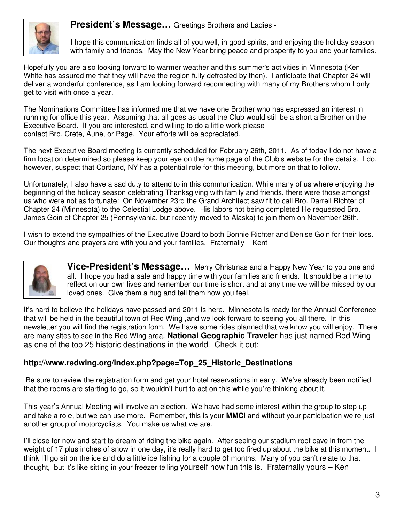**President's Message…** Greetings Brothers and Ladies -



I hope this communication finds all of you well, in good spirits, and enjoying the holiday season with family and friends. May the New Year bring peace and prosperity to you and your families.

Hopefully you are also looking forward to warmer weather and this summer's activities in Minnesota (Ken White has assured me that they will have the region fully defrosted by then). I anticipate that Chapter 24 will deliver a wonderful conference, as I am looking forward reconnecting with many of my Brothers whom I only get to visit with once a year.

The Nominations Committee has informed me that we have one Brother who has expressed an interest in running for office this year. Assuming that all goes as usual the Club would still be a short a Brother on the Executive Board. If you are interested, and willing to do a little work please contact Bro. Crete, Aune, or Page. Your efforts will be appreciated.

The next Executive Board meeting is currently scheduled for February 26th, 2011. As of today I do not have a firm location determined so please keep your eye on the home page of the Club's website for the details. I do, however, suspect that Cortland, NY has a potential role for this meeting, but more on that to follow.

Unfortunately, I also have a sad duty to attend to in this communication. While many of us where enjoying the beginning of the holiday season celebrating Thanksgiving with family and friends, there were those amongst us who were not as fortunate: On November 23rd the Grand Architect saw fit to call Bro. Darrell Richter of Chapter 24 (Minnesota) to the Celestial Lodge above. His labors not being completed He requested Bro. James Goin of Chapter 25 (Pennsylvania, but recently moved to Alaska) to join them on November 26th.

I wish to extend the sympathies of the Executive Board to both Bonnie Richter and Denise Goin for their loss. Our thoughts and prayers are with you and your families. Fraternally – Kent



**Vice-President's Message…** Merry Christmas and a Happy New Year to you one and all. I hope you had a safe and happy time with your families and friends. It should be a time to reflect on our own lives and remember our time is short and at any time we will be missed by our loved ones. Give them a hug and tell them how you feel.

It's hard to believe the holidays have passed and 2011 is here. Minnesota is ready for the Annual Conference that will be held in the beautiful town of Red Wing ,and we look forward to seeing you all there. In this newsletter you will find the registration form. We have some rides planned that we know you will enjoy. There are many sites to see in the Red Wing area. **National Geographic Traveler** has just named Red Wing as one of the top 25 historic destinations in the world. Check it out:

#### **http://www.redwing.org/index.php?page=Top\_25\_Historic\_Destinations**

 Be sure to review the registration form and get your hotel reservations in early. We've already been notified that the rooms are starting to go, so it wouldn't hurt to act on this while you're thinking about it.

This year's Annual Meeting will involve an election. We have had some interest within the group to step up and take a role, but we can use more. Remember, this is your **MMCI** and without your participation we're just another group of motorcyclists. You make us what we are.

I'll close for now and start to dream of riding the bike again. After seeing our stadium roof cave in from the weight of 17 plus inches of snow in one day, it's really hard to get too fired up about the bike at this moment. I think I'll go sit on the ice and do a little ice fishing for a couple of months. Many of you can't relate to that thought, but it's like sitting in your freezer telling yourself how fun this is. Fraternally yours – Ken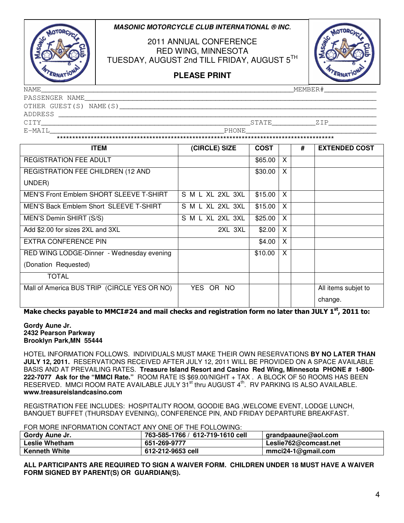#### **MASONIC MOTORCYCLE CLUB INTERNATIONAL ® INC**.



2011 ANNUAL CONFERENCE RED WING, MINNESOTA TUESDAY, AUGUST 2nd TILL FRIDAY, AUGUST 5<sup>TH</sup>



**PLEASE PRINT**

NAME\_\_\_\_\_\_\_\_\_\_\_\_\_\_\_\_\_\_\_\_\_\_\_\_\_\_\_\_\_\_\_\_\_\_\_\_\_\_\_\_\_\_\_\_\_\_\_\_\_\_\_\_\_\_\_\_\_\_MEMBER#\_\_\_\_\_\_\_\_\_\_\_\_

| PASSENGER NAME         |       |  |
|------------------------|-------|--|
| OTHER GUEST(S) NAME(S) |       |  |
| ADDRESS                |       |  |
| CITY                   | STATE |  |
| E-MAIL                 | PHONE |  |

\*\*\*\*\*\*\*\*\*\*\*\*\*\*\*\*\*\*\*\*\*\*\*\*\*\*\*\*\*\*\*\*\*\*\*\*\*\*\*\*\*\*\*\*\*\*\*\*\*\*\*\*\*\*\*\*\*\*\*\*\*\*\*\*\*\*\*\*\*\*\*\*\*\*\*\*\*\*\*\*\*\*\*\*\*\*\*\*\*\*

| <b>ITEM</b>                                    | (CIRCLE) SIZE    | <b>COST</b> |   | # | <b>EXTENDED COST</b> |
|------------------------------------------------|------------------|-------------|---|---|----------------------|
| <b>REGISTRATION FEE ADULT</b>                  |                  | \$65.00     | X |   |                      |
| REGISTRATION FEE CHILDREN (12 AND              |                  | \$30.00     | X |   |                      |
| UNDER)                                         |                  |             |   |   |                      |
| <b>MEN'S Front Emblem SHORT SLEEVE T-SHIRT</b> | S M L XL 2XL 3XL | \$15.00     | X |   |                      |
| MEN'S Back Emblem Short SLEEVE T-SHIRT         | S M L XL 2XL 3XL | \$15.00     | X |   |                      |
| MEN'S Demin SHIRT (S/S)                        | S M L XL 2XL 3XL | \$25.00     | X |   |                      |
| Add \$2.00 for sizes 2XL and 3XL               | 2XL 3XL          | \$2.00      | X |   |                      |
| <b>EXTRA CONFERENCE PIN</b>                    |                  | \$4.00      | X |   |                      |
| RED WING LODGE-Dinner - Wednesday evening      |                  | \$10.00     | X |   |                      |
| (Donation Requested)                           |                  |             |   |   |                      |
| <b>TOTAL</b>                                   |                  |             |   |   |                      |
| Mall of America BUS TRIP (CIRCLE YES OR NO)    | YES OR NO        |             |   |   | All items subjet to  |
|                                                |                  |             |   |   | change.              |

Make checks payable to MMCI#24 and mail checks and registration form no later than JULY 1st, 2011 to:

#### **Gordy Aune Jr. 2432 Pearson Parkway Brooklyn Park,MN 55444**

HOTEL INFORMATION FOLLOWS. INDIVIDUALS MUST MAKE THEIR OWN RESERVATIONS **BY NO LATER THAN JULY 12, 2011.** RESERVATIONS RECEIVED AFTER JULY 12, 2011 WILL BE PROVIDED ON A SPACE AVAILABLE BASIS AND AT PREVAILING RATES. **Treasure Island Resort and Casino Red Wing, Minnesota PHONE # 1-800- 222-7077 Ask for the "MMCI Rate."** ROOM RATE IS \$69.00/NIGHT + TAX . A BLOCK OF 50 ROOMS HAS BEEN RESERVED. MMCI ROOM RATE AVAILABLE JULY 31<sup>st</sup> thru AUGUST 4<sup>th</sup>. RV PARKING IS ALSO AVAILABLE. **www.treasureislandcasino.com**

REGISTRATION FEE INCLUDES: HOSPITALITY ROOM, GOODIE BAG ,WELCOME EVENT, LODGE LUNCH, BANQUET BUFFET (THURSDAY EVENING), CONFERENCE PIN, AND FRIDAY DEPARTURE BREAKFAST.

FOR MORE INFORMATION CONTACT ANY ONE OF THE FOLLOWING:

| Gordy Aune Jr.       | 763-585-1766 / 612-719-1610 cell | $ $ grandpaaune@aol.com |
|----------------------|----------------------------------|-------------------------|
| Leslie Whetham       | 651-269-9777                     | Leslie762@comcast.net   |
| <b>Kenneth White</b> | 612-212-9653 cell                | mmci24-1@gmail.com      |

**ALL PARTICIPANTS ARE REQUIRED TO SIGN A WAIVER FORM. CHILDREN UNDER 18 MUST HAVE A WAIVER FORM SIGNED BY PARENT(S) OR GUARDIAN(S).**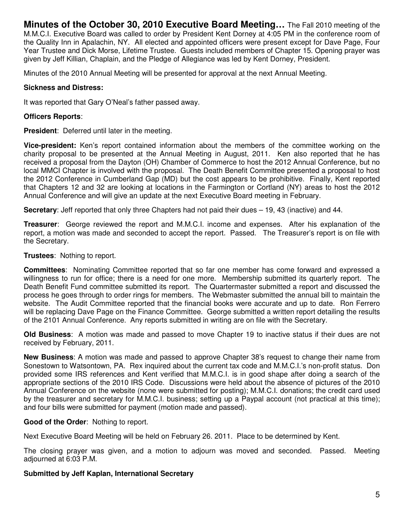**Minutes of the October 30, 2010 Executive Board Meeting…** The Fall 2010 meeting of the M.M.C.I. Executive Board was called to order by President Kent Dorney at 4:05 PM in the conference room of the Quality Inn in Apalachin, NY. All elected and appointed officers were present except for Dave Page, Four Year Trustee and Dick Morse, Lifetime Trustee. Guests included members of Chapter 15. Opening prayer was given by Jeff Killian, Chaplain, and the Pledge of Allegiance was led by Kent Dorney, President.

Minutes of the 2010 Annual Meeting will be presented for approval at the next Annual Meeting.

#### **Sickness and Distress:**

It was reported that Gary O'Neal's father passed away.

#### **Officers Reports**:

**President**: Deferred until later in the meeting.

**Vice-president:** Ken's report contained information about the members of the committee working on the charity proposal to be presented at the Annual Meeting in August, 2011. Ken also reported that he has received a proposal from the Dayton (OH) Chamber of Commerce to host the 2012 Annual Conference, but no local MMCI Chapter is involved with the proposal. The Death Benefit Committee presented a proposal to host the 2012 Conference in Cumberland Gap (MD) but the cost appears to be prohibitive. Finally, Kent reported that Chapters 12 and 32 are looking at locations in the Farmington or Cortland (NY) areas to host the 2012 Annual Conference and will give an update at the next Executive Board meeting in February.

**Secretary**: Jeff reported that only three Chapters had not paid their dues – 19, 43 (inactive) and 44.

**Treasurer**: George reviewed the report and M.M.C.I. income and expenses. After his explanation of the report, a motion was made and seconded to accept the report. Passed. The Treasurer's report is on file with the Secretary.

**Trustees**: Nothing to report.

**Committees**: Nominating Committee reported that so far one member has come forward and expressed a willingness to run for office; there is a need for one more. Membership submitted its quarterly report. The Death Benefit Fund committee submitted its report. The Quartermaster submitted a report and discussed the process he goes through to order rings for members. The Webmaster submitted the annual bill to maintain the website. The Audit Committee reported that the financial books were accurate and up to date. Ron Ferrero will be replacing Dave Page on the Finance Committee. George submitted a written report detailing the results of the 2101 Annual Conference. Any reports submitted in writing are on file with the Secretary.

**Old Business**: A motion was made and passed to move Chapter 19 to inactive status if their dues are not received by February, 2011.

**New Business**: A motion was made and passed to approve Chapter 38's request to change their name from Sonestown to Watsontown, PA. Rex inquired about the current tax code and M.M.C.I.'s non-profit status. Don provided some IRS references and Kent verified that M.M.C.I. is in good shape after doing a search of the appropriate sections of the 2010 IRS Code. Discussions were held about the absence of pictures of the 2010 Annual Conference on the website (none were submitted for posting); M.M.C.I. donations; the credit card used by the treasurer and secretary for M.M.C.I. business; setting up a Paypal account (not practical at this time); and four bills were submitted for payment (motion made and passed).

#### **Good of the Order**: Nothing to report.

Next Executive Board Meeting will be held on February 26. 2011. Place to be determined by Kent.

The closing prayer was given, and a motion to adjourn was moved and seconded. Passed. Meeting adjourned at 6:03 P.M.

#### **Submitted by Jeff Kaplan, International Secretary**